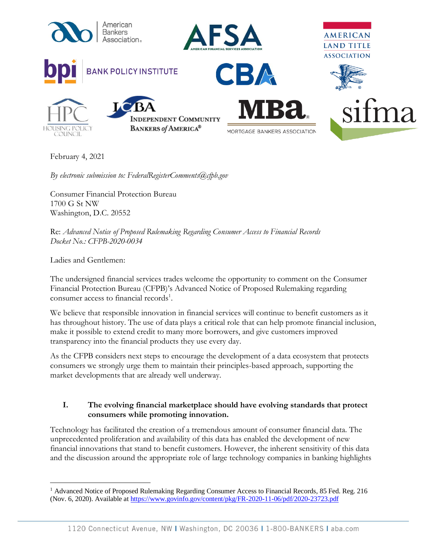

February 4, 2021

*By electronic submission to: FederalRegisterComments@cfpb.gov*

Consumer Financial Protection Bureau 1700 G St NW Washington, D.C. 20552

Re: *Advanced Notice of Proposed Rulemaking Regarding Consumer Access to Financial Records Docket No.: CFPB-2020-0034*

Ladies and Gentlemen:

The undersigned financial services trades welcome the opportunity to comment on the Consumer Financial Protection Bureau (CFPB)'s Advanced Notice of Proposed Rulemaking regarding consumer access to financial records<sup>1</sup>.

We believe that responsible innovation in financial services will continue to benefit customers as it has throughout history. The use of data plays a critical role that can help promote financial inclusion, make it possible to extend credit to many more borrowers, and give customers improved transparency into the financial products they use every day.

As the CFPB considers next steps to encourage the development of a data ecosystem that protects consumers we strongly urge them to maintain their principles-based approach, supporting the market developments that are already well underway.

## **I. The evolving financial marketplace should have evolving standards that protect consumers while promoting innovation.**

Technology has facilitated the creation of a tremendous amount of consumer financial data. The unprecedented proliferation and availability of this data has enabled the development of new financial innovations that stand to benefit customers. However, the inherent sensitivity of this data and the discussion around the appropriate role of large technology companies in banking highlights

<sup>&</sup>lt;sup>1</sup> Advanced Notice of Proposed Rulemaking Regarding Consumer Access to Financial Records, 85 Fed. Reg. 216 (Nov. 6, 2020). Available at<https://www.govinfo.gov/content/pkg/FR-2020-11-06/pdf/2020-23723.pdf>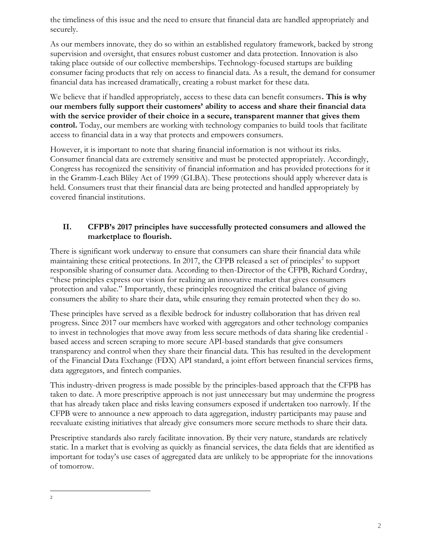the timeliness of this issue and the need to ensure that financial data are handled appropriately and securely.

As our members innovate, they do so within an established regulatory framework, backed by strong supervision and oversight, that ensures robust customer and data protection. Innovation is also taking place outside of our collective memberships. Technology-focused startups are building consumer facing products that rely on access to financial data. As a result, the demand for consumer financial data has increased dramatically, creating a robust market for these data.

We believe that if handled appropriately, access to these data can benefit consumers**. This is why our members fully support their customers' ability to access and share their financial data with the service provider of their choice in a secure, transparent manner that gives them control.** Today, our members are working with technology companies to build tools that facilitate access to financial data in a way that protects and empowers consumers.

However, it is important to note that sharing financial information is not without its risks. Consumer financial data are extremely sensitive and must be protected appropriately. Accordingly, Congress has recognized the sensitivity of financial information and has provided protections for it in the Gramm-Leach Bliley Act of 1999 (GLBA). These protections should apply wherever data is held. Consumers trust that their financial data are being protected and handled appropriately by covered financial institutions.

## **II. CFPB's 2017 principles have successfully protected consumers and allowed the marketplace to flourish.**

There is significant work underway to ensure that consumers can share their financial data while maintaining these critical protections. In 2017, the CFPB released a set of principles<sup>2</sup> to support responsible sharing of consumer data. According to then-Director of the CFPB, Richard Cordray, "these principles express our vision for realizing an innovative market that gives consumers protection and value." Importantly, these principles recognized the critical balance of giving consumers the ability to share their data, while ensuring they remain protected when they do so.

These principles have served as a flexible bedrock for industry collaboration that has driven real progress. Since 2017 our members have worked with aggregators and other technology companies to invest in technologies that move away from less secure methods of data sharing like credential based access and screen scraping to more secure API-based standards that give consumers transparency and control when they share their financial data. This has resulted in the development of the Financial Data Exchange (FDX) API standard, a joint effort between financial services firms, data aggregators, and fintech companies.

This industry-driven progress is made possible by the principles-based approach that the CFPB has taken to date. A more prescriptive approach is not just unnecessary but may undermine the progress that has already taken place and risks leaving consumers exposed if undertaken too narrowly. If the CFPB were to announce a new approach to data aggregation, industry participants may pause and reevaluate existing initiatives that already give consumers more secure methods to share their data.

Prescriptive standards also rarely facilitate innovation. By their very nature, standards are relatively static. In a market that is evolving as quickly as financial services, the data fields that are identified as important for today's use cases of aggregated data are unlikely to be appropriate for the innovations of tomorrow.

<sup>2</sup>